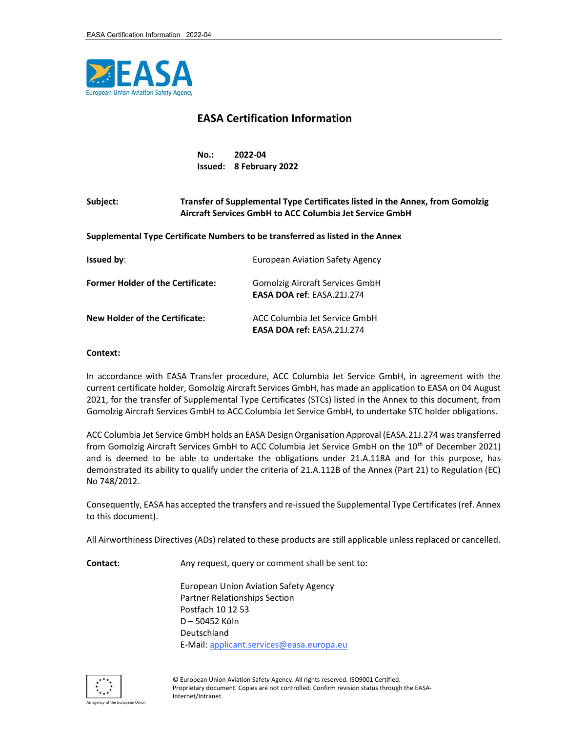

## EASA Certification Information

No.: 2022-04 Issued: 8 February 2022

## Subject: Transfer of Supplemental Type Certificates listed in the Annex, from Gomolzig Aircraft Services GmbH to ACC Columbia Jet Service GmbH

Supplemental Type Certificate Numbers to be transferred as listed in the Annex

| <b>Issued by:</b>                        | <b>European Aviation Safety Agency</b>                             |
|------------------------------------------|--------------------------------------------------------------------|
| <b>Former Holder of the Certificate:</b> | Gomolzig Aircraft Services GmbH<br>EASA DOA ref: FASA 211.274      |
| New Holder of the Certificate:           | ACC Columbia Jet Service GmbH<br><b>EASA DOA ref: EASA.21J.274</b> |

## Context:

In accordance with EASA Transfer procedure, ACC Columbia Jet Service GmbH, in agreement with the current certificate holder, Gomolzig Aircraft Services GmbH, has made an application to EASA on 04 August 2021, for the transfer of Supplemental Type Certificates (STCs) listed in the Annex to this document, from Gomolzig Aircraft Services GmbH to ACC Columbia Jet Service GmbH, to undertake STC holder obligations.

ACC Columbia Jet Service GmbH holds an EASA Design Organisation Approval (EASA.21J.274 was transferred from Gomolzig Aircraft Services GmbH to ACC Columbia Jet Service GmbH on the 10<sup>th</sup> of December 2021) and is deemed to be able to undertake the obligations under 21.A.118A and for this purpose, has demonstrated its ability to qualify under the criteria of 21.A.112B of the Annex (Part 21) to Regulation (EC) No 748/2012.

Consequently, EASA has accepted the transfers and re-issued the Supplemental Type Certificates (ref. Annex to this document).

All Airworthiness Directives (ADs) related to these products are still applicable unless replaced or cancelled.

Contact: Any request, query or comment shall be sent to:

 European Union Aviation Safety Agency Partner Relationships Section Postfach 10 12 53 D – 50452 Köln Deutschland E-Mail: applicant.services@easa.europa.eu

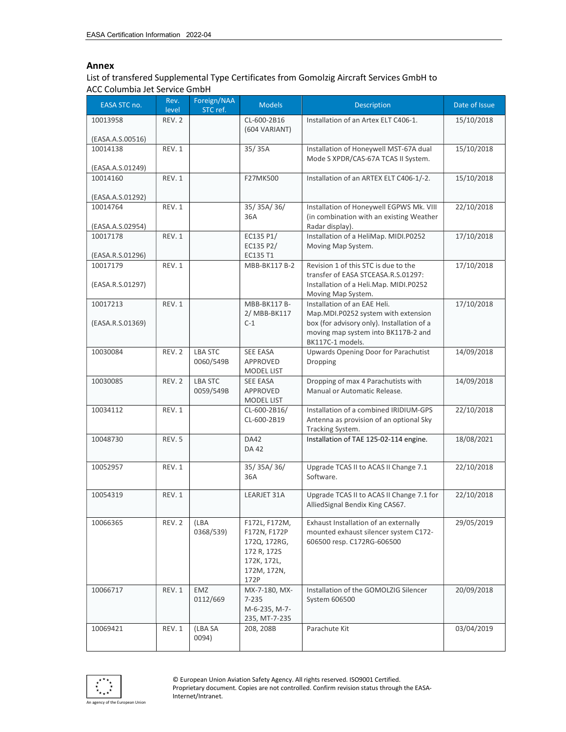## Annex

List of transfered Supplemental Type Certificates from Gomolzig Aircraft Services GmbH to ACC Columbia Jet Service GmbH

| EASA STC no.                 | Rev.<br>level | Foreign/NAA<br>STC ref. | <b>Models</b>                     | <b>Description</b>                                                                                  | Date of Issue |
|------------------------------|---------------|-------------------------|-----------------------------------|-----------------------------------------------------------------------------------------------------|---------------|
| 10013958                     | REV. 2        |                         | CL-600-2B16<br>(604 VARIANT)      | Installation of an Artex ELT C406-1.                                                                | 15/10/2018    |
| (EASA.A.S.00516)             |               |                         |                                   |                                                                                                     |               |
| 10014138<br>(EASA.A.S.01249) | REV. 1        |                         | 35/35A                            | Installation of Honeywell MST-67A dual<br>Mode S XPDR/CAS-67A TCAS II System.                       | 15/10/2018    |
| 10014160                     | REV. 1        |                         | F27MK500                          | Installation of an ARTEX ELT C406-1/-2.                                                             | 15/10/2018    |
| (EASA.A.S.01292)             |               |                         |                                   |                                                                                                     |               |
| 10014764                     | REV. 1        |                         | 35/35A/36/                        | Installation of Honeywell EGPWS Mk. VIII                                                            | 22/10/2018    |
| (EASA.A.S.02954)             |               |                         | 36A                               | (in combination with an existing Weather<br>Radar display).                                         |               |
| 10017178                     | REV. 1        |                         | EC135 P1/                         | Installation of a HeliMap. MIDI.P0252                                                               | 17/10/2018    |
| (EASA.R.S.01296)             |               |                         | EC135 P2/<br>EC135 T1             | Moving Map System.                                                                                  |               |
| 10017179                     | REV. 1        |                         | MBB-BK117 B-2                     | Revision 1 of this STC is due to the                                                                | 17/10/2018    |
| (EASA.R.S.01297)             |               |                         |                                   | transfer of EASA STCEASA.R.S.01297:<br>Installation of a Heli.Map. MIDI.P0252<br>Moving Map System. |               |
| 10017213                     | REV. 1        |                         | MBB-BK117 B-                      | Installation of an EAE Heli.                                                                        | 17/10/2018    |
|                              |               |                         | 2/ MBB-BK117                      | Map.MDI.P0252 system with extension                                                                 |               |
| (EASA.R.S.01369)             |               |                         | $C-1$                             | box (for advisory only). Installation of a                                                          |               |
|                              |               |                         |                                   | moving map system into BK117B-2 and<br>BK117C-1 models.                                             |               |
| 10030084                     | REV. 2        | <b>LBA STC</b>          | SEE EASA                          | Upwards Opening Door for Parachutist                                                                | 14/09/2018    |
|                              |               | 0060/549B               | APPROVED                          | Dropping                                                                                            |               |
|                              |               |                         | MODEL LIST                        |                                                                                                     |               |
| 10030085                     | REV. 2        | <b>LBA STC</b>          | SEE EASA                          | Dropping of max 4 Parachutists with                                                                 | 14/09/2018    |
|                              |               | 0059/549B               | APPROVED                          | Manual or Automatic Release.                                                                        |               |
| 10034112                     | REV. 1        |                         | <b>MODEL LIST</b><br>CL-600-2B16/ | Installation of a combined IRIDIUM-GPS                                                              | 22/10/2018    |
|                              |               |                         | CL-600-2B19                       | Antenna as provision of an optional Sky                                                             |               |
|                              |               |                         |                                   | Tracking System.                                                                                    |               |
| 10048730                     | REV. 5        |                         | <b>DA42</b>                       | Installation of TAE 125-02-114 engine.                                                              | 18/08/2021    |
|                              |               |                         | <b>DA42</b>                       |                                                                                                     |               |
| 10052957                     | REV. 1        |                         | 35/35A/36/                        | Upgrade TCAS II to ACAS II Change 7.1                                                               | 22/10/2018    |
|                              |               |                         | 36A                               | Software.                                                                                           |               |
|                              |               |                         |                                   |                                                                                                     |               |
| 10054319                     | REV. 1        |                         | LEARJET 31A                       | Upgrade TCAS II to ACAS II Change 7.1 for                                                           | 22/10/2018    |
|                              |               |                         |                                   | AlliedSignal Bendix King CAS67.                                                                     |               |
| 10066365                     | REV. 2        | (LBA                    | F172L, F172M,                     | Exhaust Installation of an externally                                                               | 29/05/2019    |
|                              |               | 0368/539)               | F172N, F172P                      | mounted exhaust silencer system C172-                                                               |               |
|                              |               |                         | 172Q, 172RG,                      | 606500 resp. C172RG-606500                                                                          |               |
|                              |               |                         | 172 R, 172S                       |                                                                                                     |               |
|                              |               |                         | 172K, 172L,<br>172M, 172N,        |                                                                                                     |               |
|                              |               |                         | 172P                              |                                                                                                     |               |
| 10066717                     | REV. 1        | EMZ                     | MX-7-180, MX-                     | Installation of the GOMOLZIG Silencer                                                               | 20/09/2018    |
|                              |               | 0112/669                | 7-235                             | System 606500                                                                                       |               |
|                              |               |                         | M-6-235, M-7-                     |                                                                                                     |               |
| 10069421                     | REV. 1        | (LBA SA                 | 235, MT-7-235<br>208, 208B        | Parachute Kit                                                                                       | 03/04/2019    |
|                              |               | 0094)                   |                                   |                                                                                                     |               |
|                              |               |                         |                                   |                                                                                                     |               |

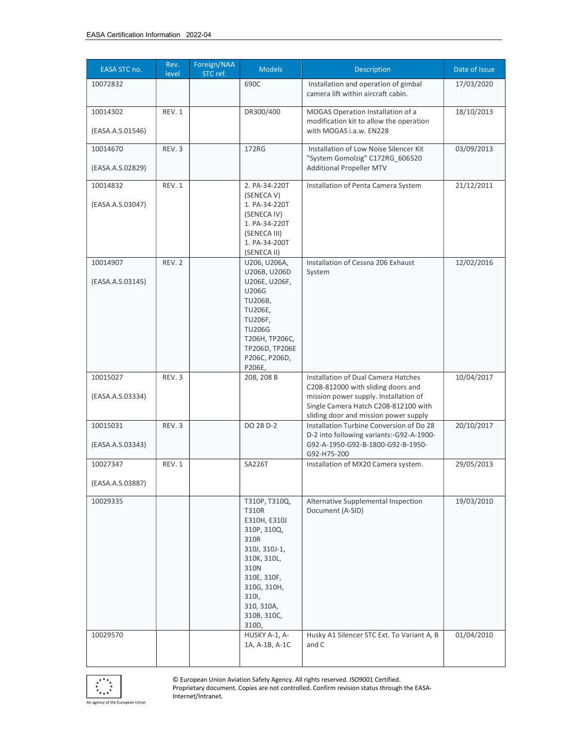| EASA STC no.                 | Rev.<br>level | Foreign/NAA<br>STC ref. | <b>Models</b>                                                                                                                                                                             | Description                                                                                                                                                                                         | Date of Issue |
|------------------------------|---------------|-------------------------|-------------------------------------------------------------------------------------------------------------------------------------------------------------------------------------------|-----------------------------------------------------------------------------------------------------------------------------------------------------------------------------------------------------|---------------|
| 10072832                     |               |                         | 690C                                                                                                                                                                                      | Installation and operation of gimbal<br>camera lift within aircraft cabin.                                                                                                                          | 17/03/2020    |
| 10014302<br>(EASA.A.S.01546) | REV. 1        |                         | DR300/400                                                                                                                                                                                 | MOGAS Operation Installation of a<br>modification kit to allow the operation<br>with MOGAS i.a.w. EN228                                                                                             | 18/10/2013    |
| 10014670<br>(EASA.A.S.02829) | REV.3         |                         | 172RG                                                                                                                                                                                     | Installation of Low Noise Silencer Kit<br>"System Gomolzig" C172RG_606520<br><b>Additional Propeller MTV</b>                                                                                        | 03/09/2013    |
| 10014832<br>(EASA.A.S.03047) | REV. 1        |                         | 2. PA-34-220T<br>(SENECA V)<br>1. PA-34-220T<br>(SENECA IV)<br>1. PA-34-220T                                                                                                              | Installation of Penta Camera System                                                                                                                                                                 | 21/12/2011    |
| 10014907                     | REV. 2        |                         | (SENECA III)<br>1. PA-34-200T<br>(SENECA II)<br>U206, U206A,<br>U206B, U206D                                                                                                              | Installation of Cessna 206 Exhaust<br>System                                                                                                                                                        | 12/02/2016    |
| (EASA.A.S.03145)             |               |                         | U206E, U206F,<br>U206G<br>TU206B,<br>TU206E,<br><b>TU206F,</b><br><b>TU206G</b><br>Т206Н, ТР206С,<br>TP206D, TP206E<br>P206C, P206D,<br>P206E,                                            |                                                                                                                                                                                                     |               |
| 10015027<br>(EASA.A.S.03334) | REV.3         |                         | 208, 208 B                                                                                                                                                                                | Installation of Dual Camera Hatches<br>C208-812000 with sliding doors and<br>mission power supply. Installation of<br>Single Camera Hatch C208-812100 with<br>sliding door and mission power supply | 10/04/2017    |
| 10015031<br>(EASA.A.S.03343) | REV.3         |                         | DO 28 D-2                                                                                                                                                                                 | Installation Turbine Conversion of Do 28<br>D-2 into following variants:-G92-A-1900-<br>G92-A-1950-G92-B-1800-G92-B-1950-<br>G92-H75-200                                                            | 20/10/2017    |
| 10027347<br>(EASA.A.S.03887) | REV. 1        |                         | <b>SA226T</b>                                                                                                                                                                             | Installation of MX20 Camera system.                                                                                                                                                                 | 29/05/2013    |
| 10029335                     |               |                         | T310P, T310Q,<br><b>T310R</b><br>E310H, E310J<br>310P, 310Q,<br>310R<br>310J, 310J-1,<br>310K, 310L,<br>310N<br>310E, 310F,<br>310G, 310H,<br>310I,<br>310, 310A,<br>310B, 310C,<br>310D, | Alternative Supplemental Inspection<br>Document (A-SID)                                                                                                                                             | 19/03/2010    |
| 10029570                     |               |                         | HUSKY A-1, A-<br>1A, A-1B, A-1C                                                                                                                                                           | Husky A1 Silencer STC Ext. To Variant A, B<br>and C                                                                                                                                                 | 01/04/2010    |



© European Union Aviation Safety Agency. All rights reserved. ISO9001 Certified. Proprietary document. Copies are not controlled. Confirm revision status through the EASA-Internet/Intranet.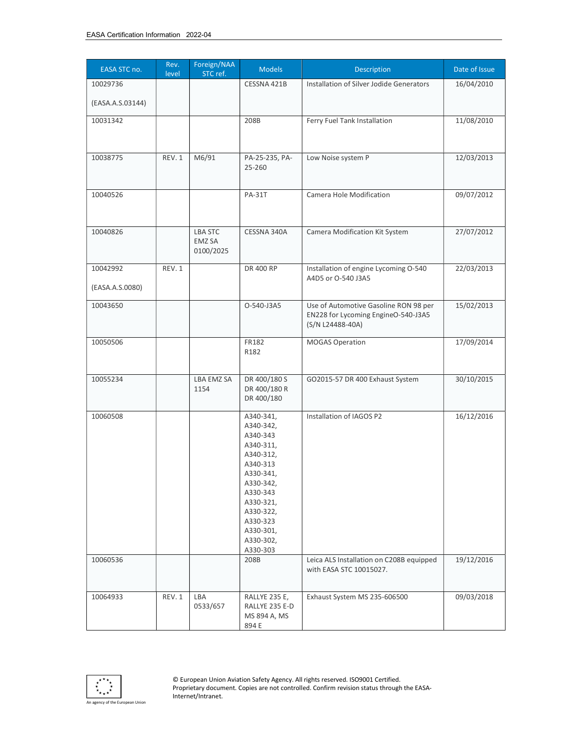| EASA STC no.                 | Rev.<br>level | Foreign/NAA<br>STC ref.               | <b>Models</b>                                                                                                                                                                                      | Description                                                                                      | Date of Issue            |
|------------------------------|---------------|---------------------------------------|----------------------------------------------------------------------------------------------------------------------------------------------------------------------------------------------------|--------------------------------------------------------------------------------------------------|--------------------------|
| 10029736<br>(EASA.A.S.03144) |               |                                       | CESSNA 421B                                                                                                                                                                                        | Installation of Silver Jodide Generators                                                         | 16/04/2010               |
| 10031342                     |               |                                       | 208B                                                                                                                                                                                               | Ferry Fuel Tank Installation                                                                     | 11/08/2010               |
| 10038775                     | REV. 1        | M6/91                                 | PA-25-235, PA-<br>25-260                                                                                                                                                                           | Low Noise system P                                                                               | 12/03/2013               |
| 10040526                     |               |                                       | <b>PA-31T</b>                                                                                                                                                                                      | Camera Hole Modification                                                                         | 09/07/2012               |
| 10040826                     |               | <b>LBA STC</b><br>EMZ SA<br>0100/2025 | CESSNA 340A                                                                                                                                                                                        | Camera Modification Kit System                                                                   | 27/07/2012               |
| 10042992<br>(EASA.A.S.0080)  | REV. 1        |                                       | DR 400 RP                                                                                                                                                                                          | Installation of engine Lycoming O-540<br>A4D5 or O-540 J3A5                                      | 22/03/2013               |
| 10043650                     |               |                                       | O-540-J3A5                                                                                                                                                                                         | Use of Automotive Gasoline RON 98 per<br>EN228 for Lycoming EngineO-540-J3A5<br>(S/N L24488-40A) | 15/02/2013               |
| 10050506                     |               |                                       | FR182<br>R182                                                                                                                                                                                      | <b>MOGAS Operation</b>                                                                           | 17/09/2014               |
| 10055234                     |               | LBA EMZ SA<br>1154                    | DR 400/180 S<br>DR 400/180 R<br>DR 400/180                                                                                                                                                         | GO2015-57 DR 400 Exhaust System                                                                  | 30/10/2015               |
| 10060508<br>10060536         |               |                                       | A340-341,<br>A340-342,<br>A340-343<br>A340-311,<br>A340-312,<br>A340-313<br>A330-341,<br>A330-342,<br>A330-343<br>A330-321,<br>A330-322,<br>A330-323<br>A330-301,<br>A330-302,<br>A330-303<br>208B | Installation of IAGOS P2<br>Leica ALS Installation on C208B equipped<br>with EASA STC 10015027.  | 16/12/2016<br>19/12/2016 |
| 10064933                     | REV. 1        | LBA<br>0533/657                       | RALLYE 235 E,<br>RALLYE 235 E-D<br>MS 894 A, MS<br>894 E                                                                                                                                           | Exhaust System MS 235-606500                                                                     | 09/03/2018               |

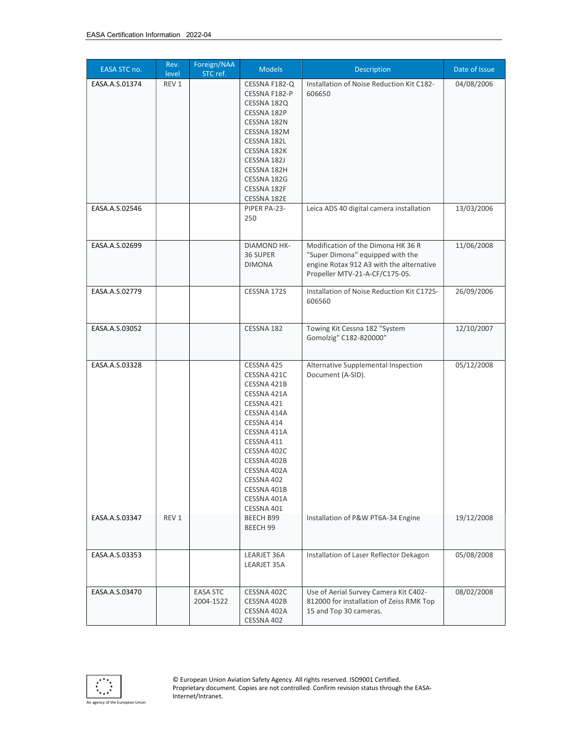| EASA STC no.   | Rev.<br>level | Foreign/NAA<br>STC ref.      | <b>Models</b>                                                                                                                                                                                                                          | Description                                                                                                                                          | Date of Issue |
|----------------|---------------|------------------------------|----------------------------------------------------------------------------------------------------------------------------------------------------------------------------------------------------------------------------------------|------------------------------------------------------------------------------------------------------------------------------------------------------|---------------|
| EASA.A.S.01374 | REV 1         |                              | CESSNA F182-Q<br>CESSNA F182-P<br>CESSNA 182Q<br>CESSNA 182P<br>CESSNA 182N<br>CESSNA 182M<br>CESSNA 182L<br>CESSNA 182K<br>CESSNA 182J<br>CESSNA 182H<br>CESSNA 182G<br>CESSNA 182F<br>CESSNA 182E                                    | Installation of Noise Reduction Kit C182-<br>606650                                                                                                  | 04/08/2006    |
| EASA.A.S.02546 |               |                              | PIPER PA-23-<br>250                                                                                                                                                                                                                    | Leica ADS 40 digital camera installation                                                                                                             | 13/03/2006    |
| EASA.A.S.02699 |               |                              | DIAMOND HK-<br>36 SUPER<br><b>DIMONA</b>                                                                                                                                                                                               | Modification of the Dimona HK 36 R<br>"Super Dimona" equipped with the<br>engine Rotax 912 A3 with the alternative<br>Propeller MTV-21-A-CF/C175-05. | 11/06/2008    |
| EASA.A.S.02779 |               |                              | CESSNA 172S                                                                                                                                                                                                                            | Installation of Noise Reduction Kit C172S-<br>606560                                                                                                 | 26/09/2006    |
| EASA.A.S.03052 |               |                              | CESSNA 182                                                                                                                                                                                                                             | Towing Kit Cessna 182 "System<br>Gomolzig" C182-820000"                                                                                              | 12/10/2007    |
| EASA.A.S.03328 |               |                              | CESSNA 425<br>CESSNA 421C<br>CESSNA 421B<br>CESSNA 421A<br>CESSNA 421<br>CESSNA 414A<br>CESSNA 414<br>CESSNA 411A<br>CESSNA 411<br>CESSNA 402C<br>CESSNA 402B<br>CESSNA 402A<br>CESSNA 402<br>CESSNA 401B<br>CESSNA 401A<br>CESSNA 401 | Alternative Supplemental Inspection<br>Document (A-SID).                                                                                             | 05/12/2008    |
| EASA.A.S.03347 | REV 1         |                              | <b>BEECH B99</b><br>BEECH 99                                                                                                                                                                                                           | Installation of P&W PT6A-34 Engine                                                                                                                   | 19/12/2008    |
| EASA.A.S.03353 |               |                              | LEARJET 36A<br>LEARJET 35A                                                                                                                                                                                                             | Installation of Laser Reflector Dekagon                                                                                                              | 05/08/2008    |
| EASA.A.S.03470 |               | <b>EASA STC</b><br>2004-1522 | CESSNA 402C<br>CESSNA 402B<br>CESSNA 402A<br>CESSNA 402                                                                                                                                                                                | Use of Aerial Survey Camera Kit C402-<br>812000 for installation of Zeiss RMK Top<br>15 and Top 30 cameras.                                          | 08/02/2008    |